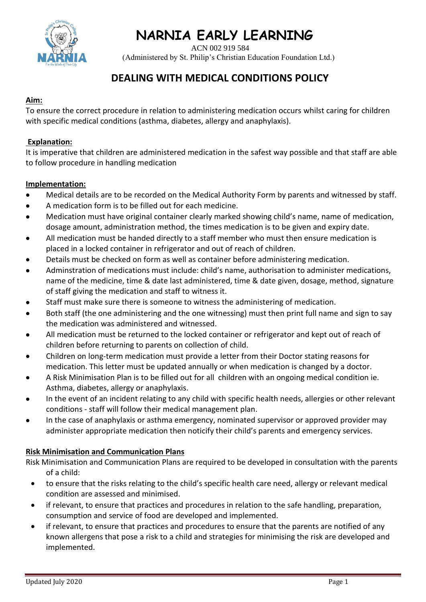

ACN 002 919 584

(Administered by St. Philip's Christian Education Foundation Ltd.)

### **DEALING WITH MEDICAL CONDITIONS POLICY**

### **Aim:**

To ensure the correct procedure in relation to administering medication occurs whilst caring for children with specific medical conditions (asthma, diabetes, allergy and anaphylaxis).

#### **Explanation:**

It is imperative that children are administered medication in the safest way possible and that staff are able to follow procedure in handling medication

### **Implementation:**

- Medical details are to be recorded on the Medical Authority Form by parents and witnessed by staff.
- A medication form is to be filled out for each medicine.
- Medication must have original container clearly marked showing child's name, name of medication, dosage amount, administration method, the times medication is to be given and expiry date.
- All medication must be handed directly to a staff member who must then ensure medication is placed in a locked container in refrigerator and out of reach of children.
- Details must be checked on form as well as container before administering medication.
- Adminstration of medications must include: child's name, authorisation to administer medications, name of the medicine, time & date last administered, time & date given, dosage, method, signature of staff giving the medication and staff to witness it.
- Staff must make sure there is someone to witness the administering of medication.
- Both staff (the one administering and the one witnessing) must then print full name and sign to say the medication was administered and witnessed.
- All medication must be returned to the locked container or refrigerator and kept out of reach of children before returning to parents on collection of child.
- Children on long-term medication must provide a letter from their Doctor stating reasons for medication. This letter must be updated annually or when medication is changed by a doctor.
- A Risk Minimisation Plan is to be filled out for all children with an ongoing medical condition ie. Asthma, diabetes, allergy or anaphylaxis.
- In the event of an incident relating to any child with specific health needs, allergies or other relevant conditions - staff will follow their medical management plan.
- In the case of anaphylaxis or asthma emergency, nominated supervisor or approved provider may administer appropriate medication then noticify their child's parents and emergency services.

### **Risk Minimisation and Communication Plans**

- Risk Minimisation and Communication Plans are required to be developed in consultation with the parents of a child:
	- to ensure that the risks relating to the child's specific health care need, allergy or relevant medical condition are assessed and minimised.
	- if relevant, to ensure that practices and procedures in relation to the safe handling, preparation, consumption and service of food are developed and implemented.
	- if relevant, to ensure that practices and procedures to ensure that the parents are notified of any known allergens that pose a risk to a child and strategies for minimising the risk are developed and implemented.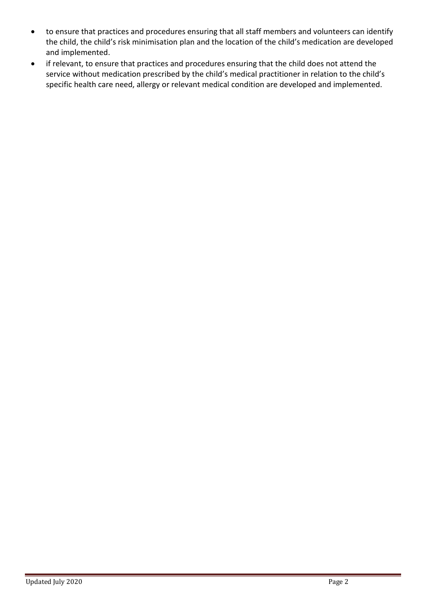- to ensure that practices and procedures ensuring that all staff members and volunteers can identify the child, the child's risk minimisation plan and the location of the child's medication are developed and implemented.
- if relevant, to ensure that practices and procedures ensuring that the child does not attend the service without medication prescribed by the child's medical practitioner in relation to the child's specific health care need, allergy or relevant medical condition are developed and implemented.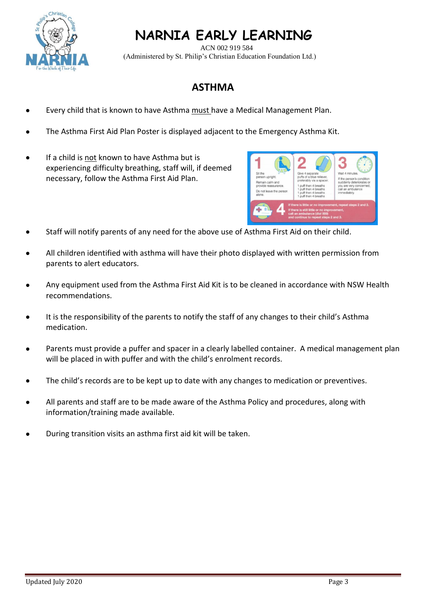

# **NARNIA EARLY LEARNING**

 ACN 002 919 584 (Administered by St. Philip's Christian Education Foundation Ltd.)

## **ASTHMA**

- Every child that is known to have Asthma must have a Medical Management Plan.
- The Asthma First Aid Plan Poster is displayed adjacent to the Emergency Asthma Kit.
- If a child is not known to have Asthma but is experiencing difficulty breathing, staff will, if deemed necessary, follow the Asthma First Aid Plan.



- Staff will notify parents of any need for the above use of Asthma First Aid on their child.
- All children identified with asthma will have their photo displayed with written permission from parents to alert educators.
- Any equipment used from the Asthma First Aid Kit is to be cleaned in accordance with NSW Health recommendations.
- It is the responsibility of the parents to notify the staff of any changes to their child's Asthma medication.
- Parents must provide a puffer and spacer in a clearly labelled container. A medical management plan will be placed in with puffer and with the child's enrolment records.
- The child's records are to be kept up to date with any changes to medication or preventives.
- All parents and staff are to be made aware of the Asthma Policy and procedures, along with information/training made available.
- During transition visits an asthma first aid kit will be taken.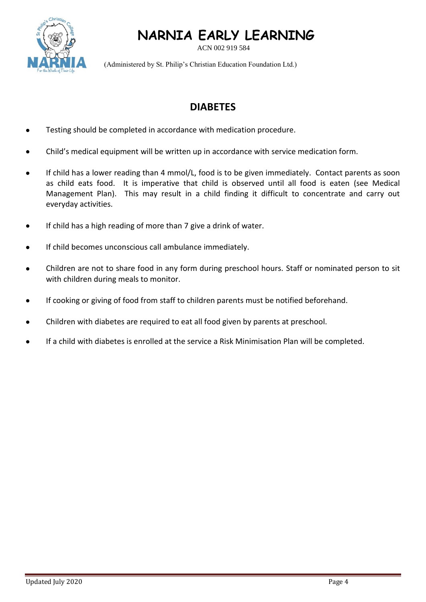# **NARNIA EARLY LEARNING**



ACN 002 919 584

(Administered by St. Philip's Christian Education Foundation Ltd.)

## **DIABETES**

- Testing should be completed in accordance with medication procedure.
- Child's medical equipment will be written up in accordance with service medication form.
- If child has a lower reading than 4 mmol/L, food is to be given immediately. Contact parents as soon as child eats food. It is imperative that child is observed until all food is eaten (see Medical Management Plan). This may result in a child finding it difficult to concentrate and carry out everyday activities.
- If child has a high reading of more than 7 give a drink of water.
- If child becomes unconscious call ambulance immediately.
- Children are not to share food in any form during preschool hours. Staff or nominated person to sit with children during meals to monitor.
- If cooking or giving of food from staff to children parents must be notified beforehand.
- Children with diabetes are required to eat all food given by parents at preschool.
- If a child with diabetes is enrolled at the service a Risk Minimisation Plan will be completed.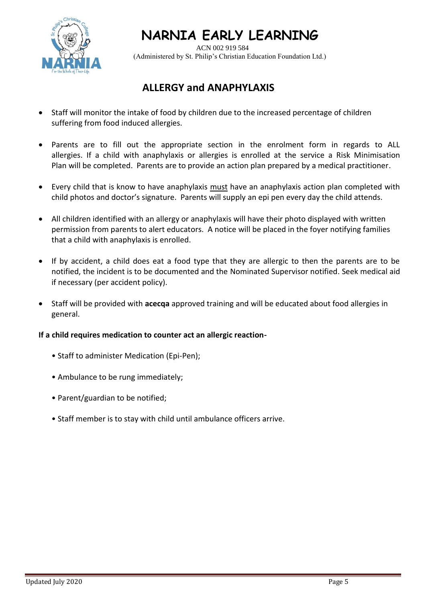

## **NARNIA EARLY LEARNING**

 ACN 002 919 584 (Administered by St. Philip's Christian Education Foundation Ltd.)

## **ALLERGY and ANAPHYLAXIS**

- Staff will monitor the intake of food by children due to the increased percentage of children suffering from food induced allergies.
- Parents are to fill out the appropriate section in the enrolment form in regards to ALL allergies. If a child with anaphylaxis or allergies is enrolled at the service a Risk Minimisation Plan will be completed. Parents are to provide an action plan prepared by a medical practitioner.
- Every child that is know to have anaphylaxis must have an anaphylaxis action plan completed with child photos and doctor's signature. Parents will supply an epi pen every day the child attends.
- All children identified with an allergy or anaphylaxis will have their photo displayed with written permission from parents to alert educators. A notice will be placed in the foyer notifying families that a child with anaphylaxis is enrolled.
- If by accident, a child does eat a food type that they are allergic to then the parents are to be notified, the incident is to be documented and the Nominated Supervisor notified. Seek medical aid if necessary (per accident policy).
- Staff will be provided with **acecqa** approved training and will be educated about food allergies in general.

### **If a child requires medication to counter act an allergic reaction-**

- Staff to administer Medication (Epi-Pen);
- Ambulance to be rung immediately;
- Parent/guardian to be notified;
- Staff member is to stay with child until ambulance officers arrive.